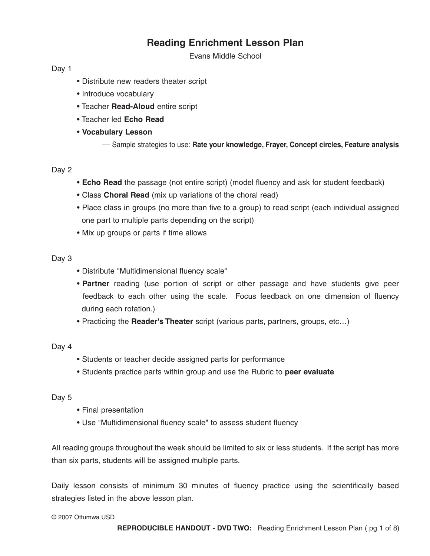# **Reading Enrichment Lesson Plan**

Evans Middle School

Day 1

- Distribute new readers theater script
- Introduce vocabulary
- Teacher **Read-Aloud** entire script
- Teacher led **Echo Read**
- **Vocabulary Lesson**
	- Sample strategies to use: **Rate your knowledge, Frayer, Concept circles, Feature analysis**

## Day 2

- **Echo Read** the passage (not entire script) (model fluency and ask for student feedback)
- Class **Choral Read** (mix up variations of the choral read)
- Place class in groups (no more than five to a group) to read script (each individual assigned one part to multiple parts depending on the script)
- Mix up groups or parts if time allows

## Day 3

- Distribute "Multidimensional fluency scale"
- **Partner** reading (use portion of script or other passage and have students give peer feedback to each other using the scale. Focus feedback on one dimension of fluency during each rotation.)
- Practicing the **Reader's Theater** script (various parts, partners, groups, etc…)

Day 4

- Students or teacher decide assigned parts for performance
- Students practice parts within group and use the Rubric to **peer evaluate**

## Day 5

- Final presentation
- Use "Multidimensional fluency scale" to assess student fluency

All reading groups throughout the week should be limited to six or less students. If the script has more than six parts, students will be assigned multiple parts.

Daily lesson consists of minimum 30 minutes of fluency practice using the scientifically based strategies listed in the above lesson plan.

© 2007 Ottumwa USD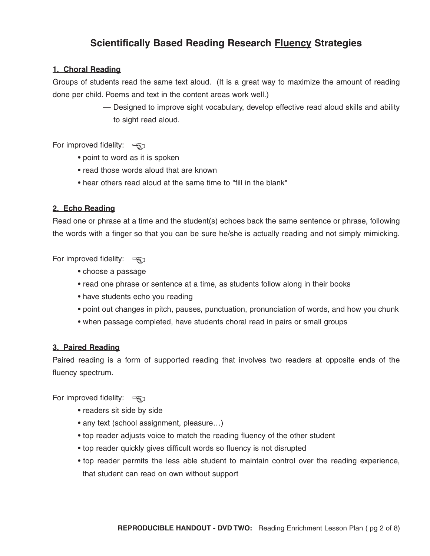# **Scientifically Based Reading Research Fluency Strategies**

## **1. Choral Reading**

Groups of students read the same text aloud. (It is a great way to maximize the amount of reading done per child. Poems and text in the content areas work well.)

> — Designed to improve sight vocabulary, develop effective read aloud skills and ability to sight read aloud.

For improved fidelity:  $\Rightarrow$ 

- point to word as it is spoken
- read those words aloud that are known
- hear others read aloud at the same time to "fill in the blank"

## **2. Echo Reading**

Read one or phrase at a time and the student(s) echoes back the same sentence or phrase, following the words with a finger so that you can be sure he/she is actually reading and not simply mimicking.

For improved fidelity:  $\overline{\mathcal{F}}$ 

- choose a passage
- read one phrase or sentence at a time, as students follow along in their books
- have students echo you reading
- point out changes in pitch, pauses, punctuation, pronunciation of words, and how you chunk
- when passage completed, have students choral read in pairs or small groups

## **3. Paired Reading**

Paired reading is a form of supported reading that involves two readers at opposite ends of the fluency spectrum.

For improved fidelity:  $\Rightarrow$ 

- readers sit side by side
- any text (school assignment, pleasure…)
- top reader adjusts voice to match the reading fluency of the other student
- top reader quickly gives difficult words so fluency is not disrupted
- top reader permits the less able student to maintain control over the reading experience, that student can read on own without support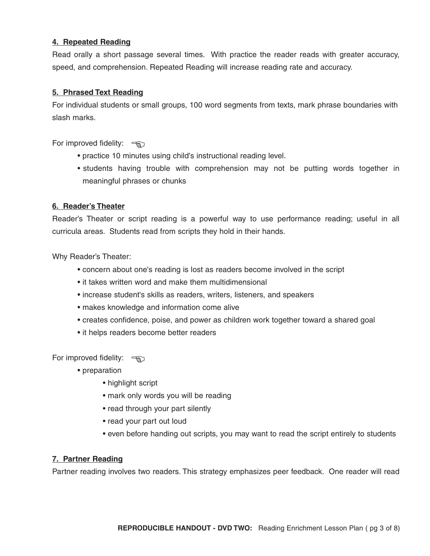## **4. Repeated Reading**

Read orally a short passage several times. With practice the reader reads with greater accuracy, speed, and comprehension. Repeated Reading will increase reading rate and accuracy.

### **5. Phrased Text Reading**

For individual students or small groups, 100 word segments from texts, mark phrase boundaries with slash marks.

For improved fidelity:  $\frac{1}{2}$ 

- practice 10 minutes using child's instructional reading level.
- students having trouble with comprehension may not be putting words together in meaningful phrases or chunks

### **6. Reader's Theater**

Reader's Theater or script reading is a powerful way to use performance reading; useful in all curricula areas. Students read from scripts they hold in their hands.

Why Reader's Theater:

- concern about one's reading is lost as readers become involved in the script
- it takes written word and make them multidimensional
- increase student's skills as readers, writers, listeners, and speakers
- makes knowledge and information come alive
- creates confidence, poise, and power as children work together toward a shared goal
- it helps readers become better readers

For improved fidelity:  $\overline{\mathcal{F}}$ 

- preparation
	- highlight script
	- mark only words you will be reading
	- read through your part silently
	- read your part out loud
	- even before handing out scripts, you may want to read the script entirely to students

### **7. Partner Reading**

Partner reading involves two readers. This strategy emphasizes peer feedback. One reader will read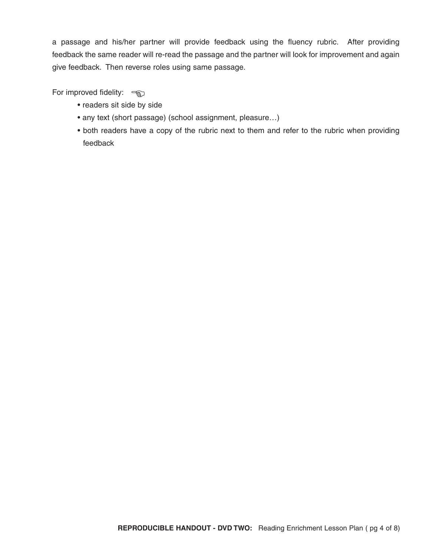a passage and his/her partner will provide feedback using the fluency rubric. After providing feedback the same reader will re-read the passage and the partner will look for improvement and again give feedback. Then reverse roles using same passage.

For improved fidelity:  $\frac{1}{2}$ 

- readers sit side by side
- any text (short passage) (school assignment, pleasure…)
- both readers have a copy of the rubric next to them and refer to the rubric when providing feedback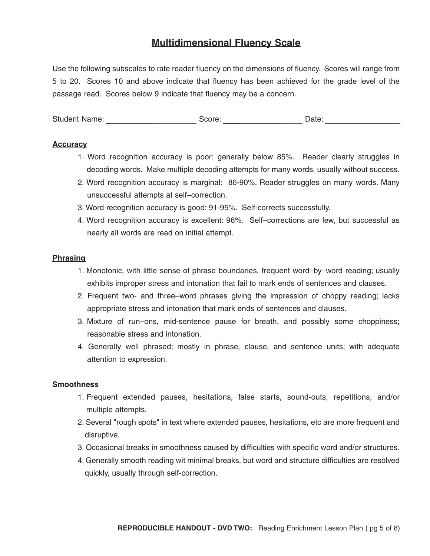## **Multidimensional Fluency Scale**

Use the following subscales to rate reader fluency on the dimensions of fluency. Scores will range from 5 to 20. Scores 10 and above indicate that fluency has been achieved for the grade level of the passage read. Scores below 9 indicate that fluency may be a concern.

Student Name: Score: Score: Date: Date: Date:

### **Accuracy**

- 1. Word recognition accuracy is poor: generally below 85%. Reader clearly struggles in decoding words. Make multiple decoding attempts for many words, usually without success.
- 2. Word recognition accuracy is marginal: 86-90%. Reader struggles on many words. Many unsuccessful attempts at self–correction.
- 3. Word recognition accuracy is good: 91-95%. Self-corrects successfully.
- 4. Word recognition accuracy is excellent: 96%. Self–corrections are few, but successful as nearly all words are read on initial attempt.

### **Phrasing**

- 1. Monotonic, with little sense of phrase boundaries, frequent word–by–word reading; usually exhibits improper stress and intonation that fail to mark ends of sentences and clauses.
- 2. Frequent two- and three–word phrases giving the impression of choppy reading; lacks appropriate stress and intonation that mark ends of sentences and clauses.
- 3. Mixture of run–ons, mid-sentence pause for breath, and possibly some choppiness; reasonable stress and intonation.
- 4. Generally well phrased; mostly in phrase, clause, and sentence units; with adequate attention to expression.

### **Smoothness**

- 1. Frequent extended pauses, hesitations, false starts, sound-outs, repetitions, and/or multiple attempts.
- 2. Several "rough spots" in text where extended pauses, hesitations, etc are more frequent and disruptive.
- 3. Occasional breaks in smoothness caused by difficulties with specific word and/or structures.
- 4. Generally smooth reading wit minimal breaks, but word and structure difficulties are resolved quickly, usually through self-correction.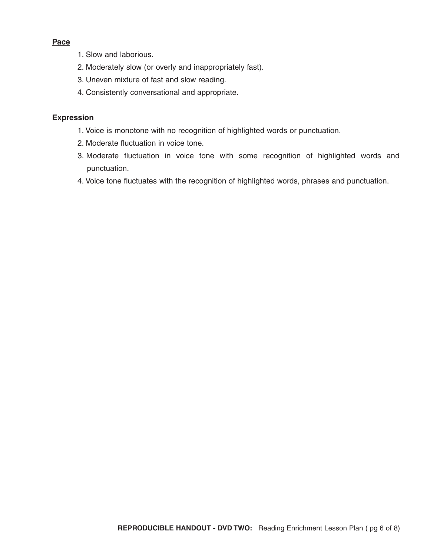## **Pace**

- 1. Slow and laborious.
- 2. Moderately slow (or overly and inappropriately fast).
- 3. Uneven mixture of fast and slow reading.
- 4. Consistently conversational and appropriate.

## **Expression**

- 1. Voice is monotone with no recognition of highlighted words or punctuation.
- 2. Moderate fluctuation in voice tone.
- 3. Moderate fluctuation in voice tone with some recognition of highlighted words and punctuation.
- 4. Voice tone fluctuates with the recognition of highlighted words, phrases and punctuation.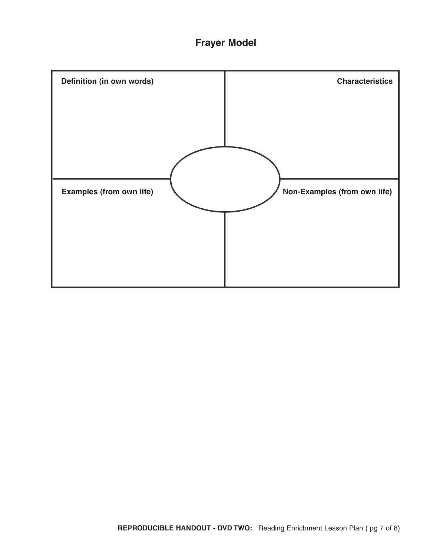

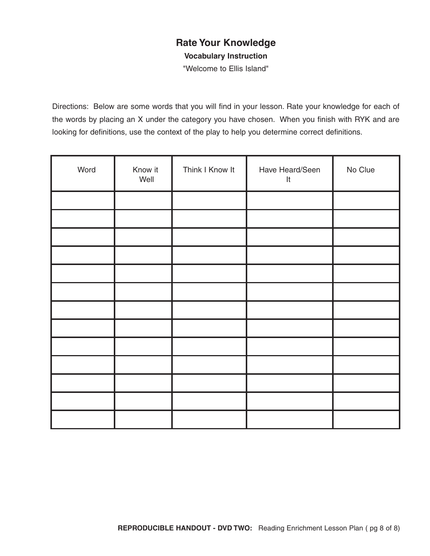## **Rate Your Knowledge**

**Vocabulary Instruction**

"Welcome to Ellis Island"

Directions: Below are some words that you will find in your lesson. Rate your knowledge for each of the words by placing an X under the category you have chosen. When you finish with RYK and are looking for definitions, use the context of the play to help you determine correct definitions.

| Word | Know it<br>Well | Think I Know It | Have Heard/Seen<br>$\mathsf{It}$ | No Clue |
|------|-----------------|-----------------|----------------------------------|---------|
|      |                 |                 |                                  |         |
|      |                 |                 |                                  |         |
|      |                 |                 |                                  |         |
|      |                 |                 |                                  |         |
|      |                 |                 |                                  |         |
|      |                 |                 |                                  |         |
|      |                 |                 |                                  |         |
|      |                 |                 |                                  |         |
|      |                 |                 |                                  |         |
|      |                 |                 |                                  |         |
|      |                 |                 |                                  |         |
|      |                 |                 |                                  |         |
|      |                 |                 |                                  |         |